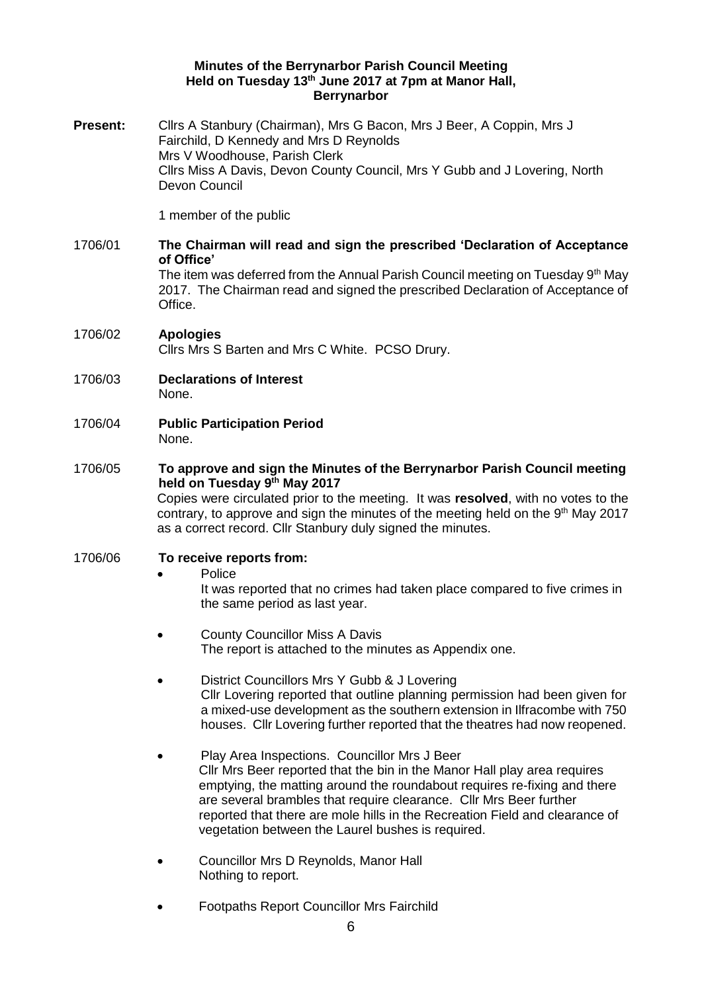### **Minutes of the Berrynarbor Parish Council Meeting Held on Tuesday 13th June 2017 at 7pm at Manor Hall, Berrynarbor**

**Present:** Cllrs A Stanbury (Chairman), Mrs G Bacon, Mrs J Beer, A Coppin, Mrs J Fairchild, D Kennedy and Mrs D Reynolds Mrs V Woodhouse, Parish Clerk Cllrs Miss A Davis, Devon County Council, Mrs Y Gubb and J Lovering, North Devon Council

1 member of the public

#### 1706/01 **The Chairman will read and sign the prescribed 'Declaration of Acceptance of Office'** The item was deferred from the Annual Parish Council meeting on Tuesday 9th May 2017. The Chairman read and signed the prescribed Declaration of Acceptance of Office.

- 1706/02 **Apologies**  Cllrs Mrs S Barten and Mrs C White. PCSO Drury.
- 1706/03 **Declarations of Interest**  None.
- 1706/04 **Public Participation Period**  None.

# 1706/05 **To approve and sign the Minutes of the Berrynarbor Parish Council meeting held on Tuesday 9 th May 2017**

Copies were circulated prior to the meeting. It was **resolved**, with no votes to the contrary, to approve and sign the minutes of the meeting held on the 9<sup>th</sup> May 2017 as a correct record. Cllr Stanbury duly signed the minutes.

## 1706/06 **To receive reports from:**

Police

It was reported that no crimes had taken place compared to five crimes in the same period as last year.

- County Councillor Miss A Davis The report is attached to the minutes as Appendix one.
- District Councillors Mrs Y Gubb & J Lovering Cllr Lovering reported that outline planning permission had been given for a mixed-use development as the southern extension in Ilfracombe with 750 houses. Cllr Lovering further reported that the theatres had now reopened.
- Play Area Inspections. Councillor Mrs J Beer Cllr Mrs Beer reported that the bin in the Manor Hall play area requires emptying, the matting around the roundabout requires re-fixing and there are several brambles that require clearance. Cllr Mrs Beer further reported that there are mole hills in the Recreation Field and clearance of vegetation between the Laurel bushes is required.
- Councillor Mrs D Reynolds, Manor Hall Nothing to report.
- Footpaths Report Councillor Mrs Fairchild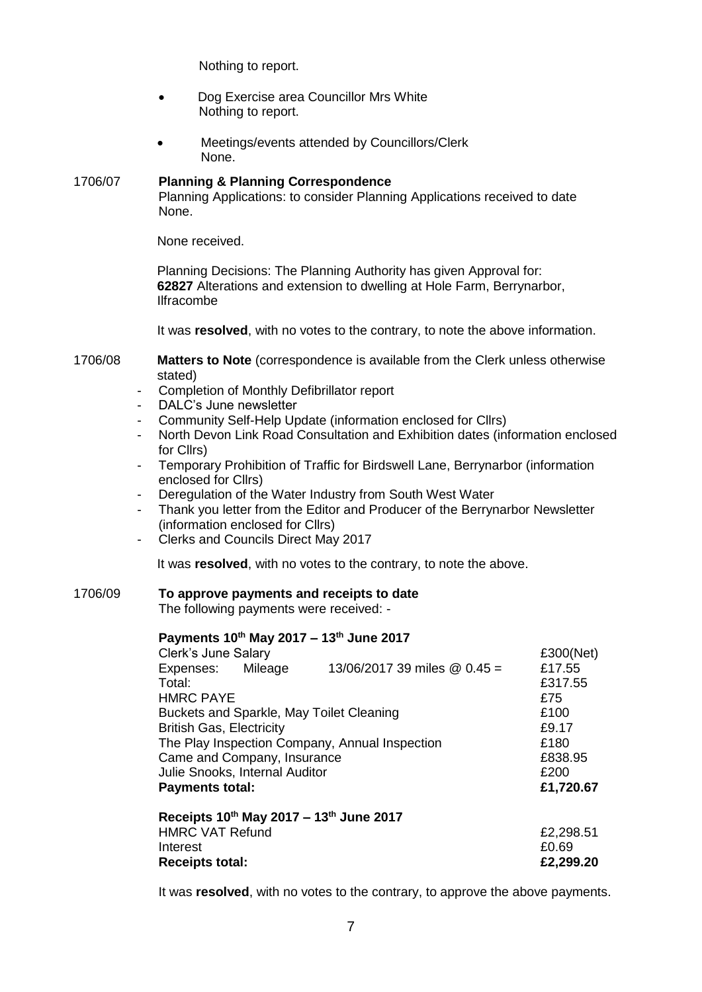Nothing to report.

- Dog Exercise area Councillor Mrs White Nothing to report.
- Meetings/events attended by Councillors/Clerk None.

#### 1706/07 **Planning & Planning Correspondence**  Planning Applications: to consider Planning Applications received to date

None received.

None.

Planning Decisions: The Planning Authority has given Approval for: **62827** Alterations and extension to dwelling at Hole Farm, Berrynarbor, Ilfracombe

It was **resolved**, with no votes to the contrary, to note the above information.

- 1706/08 **Matters to Note** (correspondence is available from the Clerk unless otherwise stated)
	- Completion of Monthly Defibrillator report
	- DALC's June newsletter
	- Community Self-Help Update (information enclosed for Cllrs)
	- North Devon Link Road Consultation and Exhibition dates (information enclosed for Cllrs)
	- Temporary Prohibition of Traffic for Birdswell Lane, Berrynarbor (information enclosed for Cllrs)
	- Deregulation of the Water Industry from South West Water
	- Thank you letter from the Editor and Producer of the Berrynarbor Newsletter (information enclosed for Cllrs)
	- Clerks and Councils Direct May 2017

It was **resolved**, with no votes to the contrary, to note the above.

## 1706/09 **To approve payments and receipts to date**

The following payments were received: -

## **Payments 10th May 2017 – 13th June 2017**

| Clerk's June Salary                            |  |                                         | £300(Net) |
|------------------------------------------------|--|-----------------------------------------|-----------|
| Expenses: Mileage                              |  | 13/06/2017 39 miles $@$ 0.45 =          | £17.55    |
| Total:                                         |  |                                         | £317.55   |
| <b>HMRC PAYE</b>                               |  |                                         | £75       |
| Buckets and Sparkle, May Toilet Cleaning       |  |                                         | £100      |
| <b>British Gas, Electricity</b>                |  |                                         | £9.17     |
| The Play Inspection Company, Annual Inspection |  |                                         | £180      |
| Came and Company, Insurance                    |  |                                         | £838.95   |
| Julie Snooks, Internal Auditor                 |  |                                         | £200      |
| <b>Payments total:</b>                         |  |                                         | £1,720.67 |
|                                                |  | Receipts 10th May 2017 - 13th June 2017 |           |
| $LIMDO$ $VAT$ $Dafund$                         |  |                                         | LU JUO LI |

| <b>Receipts total:</b> | £2,299.20 |
|------------------------|-----------|
| Interest               | £0.69     |
| <b>HMRC VAT Refund</b> | £2,298.51 |

It was **resolved**, with no votes to the contrary, to approve the above payments.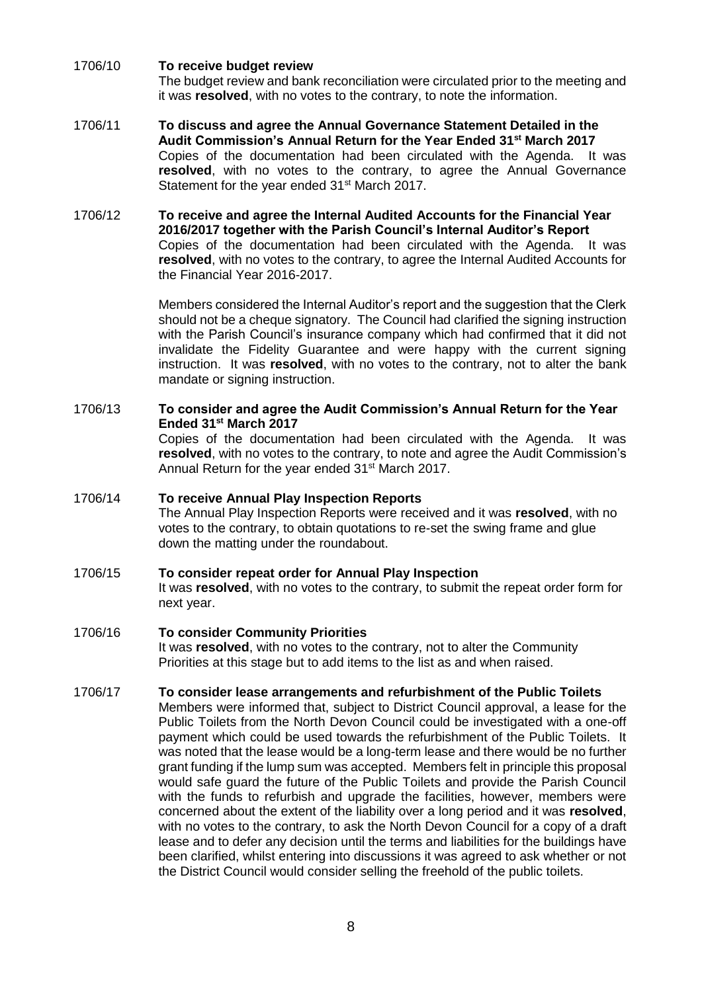- 1706/10 **To receive budget review**  The budget review and bank reconciliation were circulated prior to the meeting and it was **resolved**, with no votes to the contrary, to note the information.
- 1706/11 **To discuss and agree the Annual Governance Statement Detailed in the Audit Commission's Annual Return for the Year Ended 31st March 2017** Copies of the documentation had been circulated with the Agenda. It was resolved, with no votes to the contrary, to agree the Annual Governance Statement for the year ended 31<sup>st</sup> March 2017.
- 1706/12 **To receive and agree the Internal Audited Accounts for the Financial Year 2016/2017 together with the Parish Council's Internal Auditor's Report**  Copies of the documentation had been circulated with the Agenda. It was **resolved**, with no votes to the contrary, to agree the Internal Audited Accounts for the Financial Year 2016-2017.

Members considered the Internal Auditor's report and the suggestion that the Clerk should not be a cheque signatory. The Council had clarified the signing instruction with the Parish Council's insurance company which had confirmed that it did not invalidate the Fidelity Guarantee and were happy with the current signing instruction. It was **resolved**, with no votes to the contrary, not to alter the bank mandate or signing instruction.

## 1706/13 **To consider and agree the Audit Commission's Annual Return for the Year Ended 31st March 2017** Copies of the documentation had been circulated with the Agenda. It was **resolved**, with no votes to the contrary, to note and agree the Audit Commission's Annual Return for the year ended 31<sup>st</sup> March 2017.

# 1706/14 **To receive Annual Play Inspection Reports** The Annual Play Inspection Reports were received and it was **resolved**, with no votes to the contrary, to obtain quotations to re-set the swing frame and glue down the matting under the roundabout.

1706/15 **To consider repeat order for Annual Play Inspection**  It was **resolved**, with no votes to the contrary, to submit the repeat order form for next year.

#### 1706/16 **To consider Community Priorities** It was **resolved**, with no votes to the contrary, not to alter the Community Priorities at this stage but to add items to the list as and when raised.

1706/17 **To consider lease arrangements and refurbishment of the Public Toilets**  Members were informed that, subject to District Council approval, a lease for the Public Toilets from the North Devon Council could be investigated with a one-off payment which could be used towards the refurbishment of the Public Toilets. It was noted that the lease would be a long-term lease and there would be no further grant funding if the lump sum was accepted. Members felt in principle this proposal would safe guard the future of the Public Toilets and provide the Parish Council with the funds to refurbish and upgrade the facilities, however, members were concerned about the extent of the liability over a long period and it was **resolved**, with no votes to the contrary, to ask the North Devon Council for a copy of a draft lease and to defer any decision until the terms and liabilities for the buildings have been clarified, whilst entering into discussions it was agreed to ask whether or not the District Council would consider selling the freehold of the public toilets.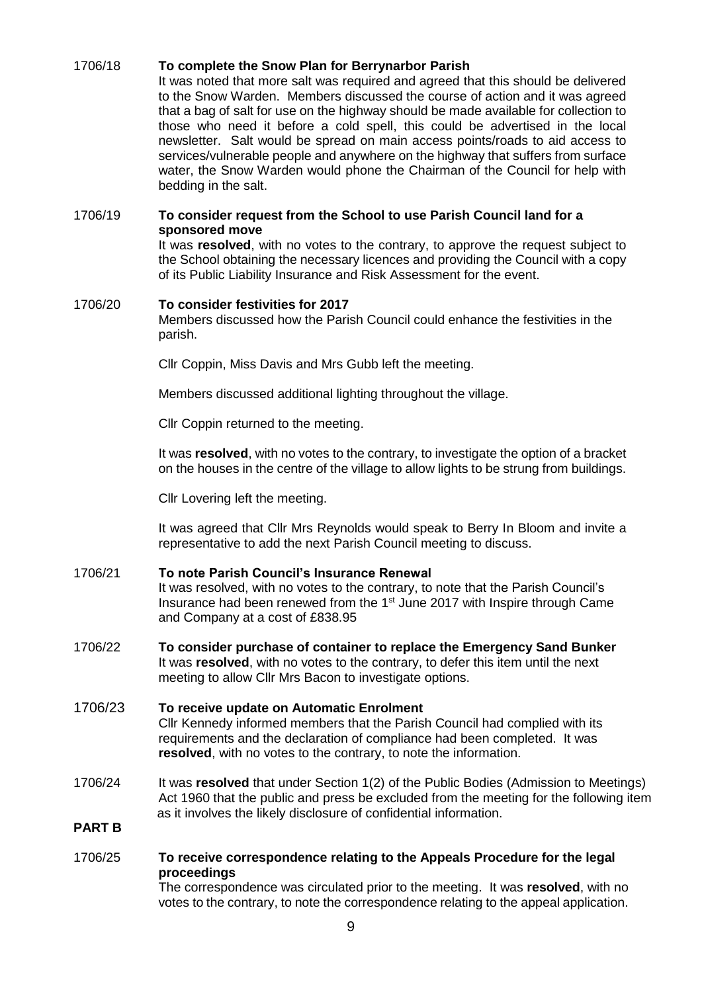## 1706/18 **To complete the Snow Plan for Berrynarbor Parish**

It was noted that more salt was required and agreed that this should be delivered to the Snow Warden. Members discussed the course of action and it was agreed that a bag of salt for use on the highway should be made available for collection to those who need it before a cold spell, this could be advertised in the local newsletter. Salt would be spread on main access points/roads to aid access to services/vulnerable people and anywhere on the highway that suffers from surface water, the Snow Warden would phone the Chairman of the Council for help with bedding in the salt.

#### 1706/19 **To consider request from the School to use Parish Council land for a sponsored move**

It was **resolved**, with no votes to the contrary, to approve the request subject to the School obtaining the necessary licences and providing the Council with a copy of its Public Liability Insurance and Risk Assessment for the event.

### 1706/20 **To consider festivities for 2017**

Members discussed how the Parish Council could enhance the festivities in the parish.

Cllr Coppin, Miss Davis and Mrs Gubb left the meeting.

Members discussed additional lighting throughout the village.

Cllr Coppin returned to the meeting.

It was **resolved**, with no votes to the contrary, to investigate the option of a bracket on the houses in the centre of the village to allow lights to be strung from buildings.

Cllr Lovering left the meeting.

It was agreed that Cllr Mrs Reynolds would speak to Berry In Bloom and invite a representative to add the next Parish Council meeting to discuss.

#### 1706/21 **To note Parish Council's Insurance Renewal**

It was resolved, with no votes to the contrary, to note that the Parish Council's Insurance had been renewed from the 1<sup>st</sup> June 2017 with Inspire through Came and Company at a cost of £838.95

1706/22 **To consider purchase of container to replace the Emergency Sand Bunker**  It was **resolved**, with no votes to the contrary, to defer this item until the next meeting to allow Cllr Mrs Bacon to investigate options.

## 1706/23 **To receive update on Automatic Enrolment** Cllr Kennedy informed members that the Parish Council had complied with its requirements and the declaration of compliance had been completed. It was **resolved**, with no votes to the contrary, to note the information.

1706/24 It was **resolved** that under Section 1(2) of the Public Bodies (Admission to Meetings) Act 1960 that the public and press be excluded from the meeting for the following item as it involves the likely disclosure of confidential information.

## **PART B**

## 1706/25 **To receive correspondence relating to the Appeals Procedure for the legal proceedings**

The correspondence was circulated prior to the meeting. It was **resolved**, with no votes to the contrary, to note the correspondence relating to the appeal application.